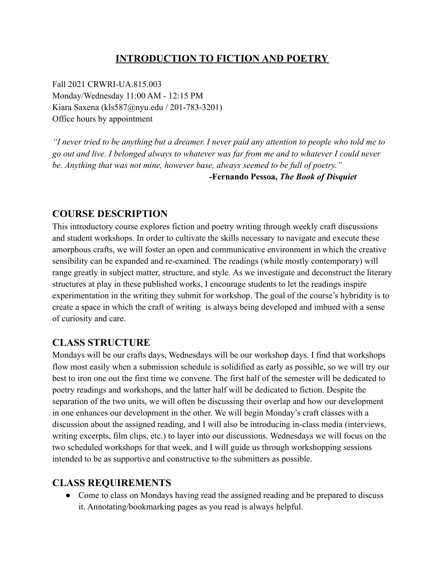## **INTRODUCTION TO FICTION AND POETRY**

Fall 2021 CRWRI-UA.815.003 Monday/Wednesday 11:00 AM - 12:15 PM Kiara Saxena (kls587@nyu.edu / 201-783-3201) Office hours by appointment

*"I never tried to be anything but a dreamer. I never paid any attention to people who told me to go out and live. I belonged always to whatever was far from me and to whatever I could never be. Anything that was not mine, however base, always seemed to be full of poetry."*

*-***Fernando Pessoa,** *The Book of Disquiet*

### **COURSE DESCRIPTION**

This introductory course explores fiction and poetry writing through weekly craft discussions and student workshops. In order to cultivate the skills necessary to navigate and execute these amorphous crafts, we will foster an open and communicative environment in which the creative sensibility can be expanded and re-examined. The readings (while mostly contemporary) will range greatly in subject matter, structure, and style. As we investigate and deconstruct the literary structures at play in these published works, I encourage students to let the readings inspire experimentation in the writing they submit for workshop. The goal of the course's hybridity is to create a space in which the craft of writing is always being developed and imbued with a sense of curiosity and care.

### **CLASS STRUCTURE**

Mondays will be our crafts days, Wednesdays will be our workshop days. I find that workshops flow most easily when a submission schedule is solidified as early as possible, so we will try our best to iron one out the first time we convene. The first half of the semester will be dedicated to poetry readings and workshops, and the latter half will be dedicated to fiction. Despite the separation of the two units, we will often be discussing their overlap and how our development in one enhances our development in the other. We will begin Monday's craft classes with a discussion about the assigned reading, and I will also be introducing in-class media (interviews, writing excerpts, film clips, etc.) to layer into our discussions. Wednesdays we will focus on the two scheduled workshops for that week, and I will guide us through workshopping sessions intended to be as supportive and constructive to the submitters as possible.

### **CLASS REQUIREMENTS**

• Come to class on Mondays having read the assigned reading and be prepared to discuss it. Annotating/bookmarking pages as you read is always helpful.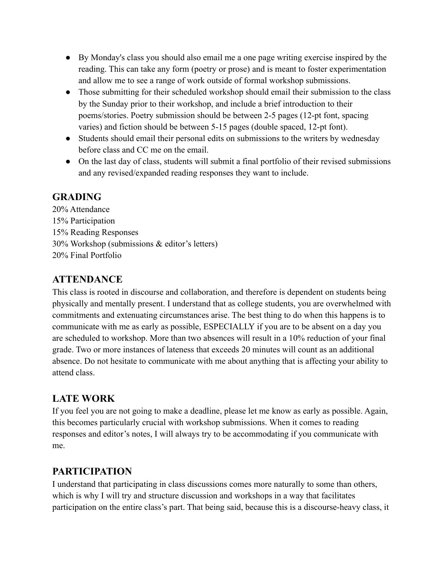- By Monday's class you should also email me a one page writing exercise inspired by the reading. This can take any form (poetry or prose) and is meant to foster experimentation and allow me to see a range of work outside of formal workshop submissions.
- Those submitting for their scheduled workshop should email their submission to the class by the Sunday prior to their workshop, and include a brief introduction to their poems/stories. Poetry submission should be between 2-5 pages (12-pt font, spacing varies) and fiction should be between 5-15 pages (double spaced, 12-pt font).
- Students should email their personal edits on submissions to the writers by wednesday before class and CC me on the email.
- On the last day of class, students will submit a final portfolio of their revised submissions and any revised/expanded reading responses they want to include.

### **GRADING**

20% Attendance 15% Participation 15% Reading Responses 30% Workshop (submissions & editor's letters) 20% Final Portfolio

## **ATTENDANCE**

This class is rooted in discourse and collaboration, and therefore is dependent on students being physically and mentally present. I understand that as college students, you are overwhelmed with commitments and extenuating circumstances arise. The best thing to do when this happens is to communicate with me as early as possible, ESPECIALLY if you are to be absent on a day you are scheduled to workshop. More than two absences will result in a 10% reduction of your final grade. Two or more instances of lateness that exceeds 20 minutes will count as an additional absence. Do not hesitate to communicate with me about anything that is affecting your ability to attend class.

# **LATE WORK**

If you feel you are not going to make a deadline, please let me know as early as possible. Again, this becomes particularly crucial with workshop submissions. When it comes to reading responses and editor's notes, I will always try to be accommodating if you communicate with me.

## **PARTICIPATION**

I understand that participating in class discussions comes more naturally to some than others, which is why I will try and structure discussion and workshops in a way that facilitates participation on the entire class's part. That being said, because this is a discourse-heavy class, it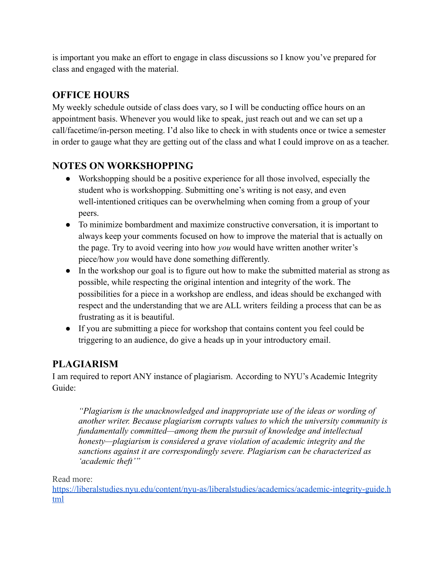is important you make an effort to engage in class discussions so I know you've prepared for class and engaged with the material.

# **OFFICE HOURS**

My weekly schedule outside of class does vary, so I will be conducting office hours on an appointment basis. Whenever you would like to speak, just reach out and we can set up a call/facetime/in-person meeting. I'd also like to check in with students once or twice a semester in order to gauge what they are getting out of the class and what I could improve on as a teacher.

## **NOTES ON WORKSHOPPING**

- Workshopping should be a positive experience for all those involved, especially the student who is workshopping. Submitting one's writing is not easy, and even well-intentioned critiques can be overwhelming when coming from a group of your peers.
- To minimize bombardment and maximize constructive conversation, it is important to always keep your comments focused on how to improve the material that is actually on the page. Try to avoid veering into how *you* would have written another writer's piece/how *you* would have done something differently.
- In the workshop our goal is to figure out how to make the submitted material as strong as possible, while respecting the original intention and integrity of the work. The possibilities for a piece in a workshop are endless, and ideas should be exchanged with respect and the understanding that we are ALL writers feilding a process that can be as frustrating as it is beautiful.
- If you are submitting a piece for workshop that contains content you feel could be triggering to an audience, do give a heads up in your introductory email.

# **PLAGIARISM**

I am required to report ANY instance of plagiarism. According to NYU's Academic Integrity Guide:

*"Plagiarism is the unacknowledged and inappropriate use of the ideas or wording of another writer. Because plagiarism corrupts values to which the university community is fundamentally committed—among them the pursuit of knowledge and intellectual honesty—plagiarism is considered a grave violation of academic integrity and the sanctions against it are correspondingly severe. Plagiarism can be characterized as 'academic theft'"*

Read more:

[https://liberalstudies.nyu.edu/content/nyu-as/liberalstudies/academics/academic-integrity-guide.h](https://liberalstudies.nyu.edu/content/nyu-as/liberalstudies/academics/academic-integrity-guide.html) [tml](https://liberalstudies.nyu.edu/content/nyu-as/liberalstudies/academics/academic-integrity-guide.html)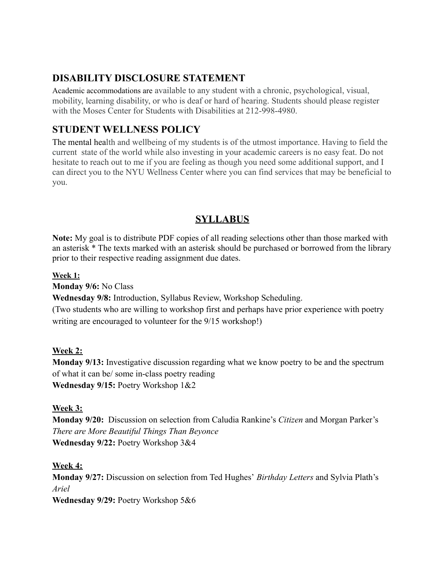## **DISABILITY DISCLOSURE STATEMENT**

Academic accommodations are available to any student with a chronic, psychological, visual, mobility, learning disability, or who is deaf or hard of hearing. Students should please register with the Moses Center for Students with Disabilities at 212-998-4980.

## **STUDENT WELLNESS POLICY**

The mental health and wellbeing of my students is of the utmost importance. Having to field the current state of the world while also investing in your academic careers is no easy feat. Do not hesitate to reach out to me if you are feeling as though you need some additional support, and I can direct you to the NYU Wellness Center where you can find services that may be beneficial to you.

### **SYLLABUS**

**Note:** My goal is to distribute PDF copies of all reading selections other than those marked with an asterisk \* The texts marked with an asterisk should be purchased or borrowed from the library prior to their respective reading assignment due dates.

#### **Week 1:**

**Monday 9/6:** No Class

**Wednesday 9/8:** Introduction, Syllabus Review, Workshop Scheduling.

(Two students who are willing to workshop first and perhaps have prior experience with poetry writing are encouraged to volunteer for the 9/15 workshop!)

#### **Week 2:**

**Monday 9/13:** Investigative discussion regarding what we know poetry to be and the spectrum of what it can be/ some in-class poetry reading **Wednesday 9/15:** Poetry Workshop 1&2

#### **Week 3:**

**Monday 9/20:** Discussion on selection from Caludia Rankine's *Citizen* and Morgan Parker's *There are More Beautiful Things Than Beyonce* **Wednesday 9/22:** Poetry Workshop 3&4

#### **Week 4:**

**Monday 9/27:** Discussion on selection from Ted Hughes' *Birthday Letters* and Sylvia Plath's *Ariel*

**Wednesday 9/29:** Poetry Workshop 5&6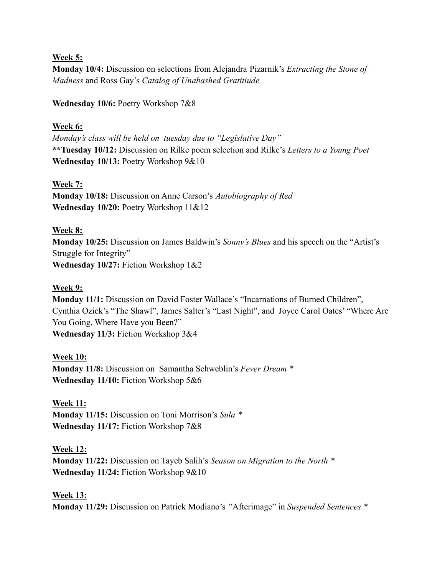#### **Week 5:**

**Monday 10/4:** Discussion on selections from Alejandra Pizarnik's *Extracting the Stone of Madness* and Ross Gay's *Catalog of Unabashed Gratitiude*

**Wednesday 10/6:** Poetry Workshop 7&8

#### **Week 6:**

*Monday's class will be held on tuesday due to "Legislative Day"* **\*\*Tuesday 10/12:** Discussion on Rilke poem selection and Rilke's *Letters to a Young Poet* **Wednesday 10/13:** Poetry Workshop 9&10

#### **Week 7:**

**Monday 10/18:** Discussion on Anne Carson's *Autobiography of Red* **Wednesday 10/20:** Poetry Workshop 11&12

#### **Week 8:**

**Monday 10/25:** Discussion on James Baldwin's *Sonny's Blues* and his speech on the "Artist's Struggle for Integrity" **Wednesday 10/27:** Fiction Workshop 1&2

#### **Week 9:**

**Monday 11/1:** Discussion on David Foster Wallace's "Incarnations of Burned Children", Cynthia Ozick's "The Shawl", James Salter's "Last Night", and Joyce Carol Oates' "Where Are You Going, Where Have you Been?" **Wednesday 11/3:** Fiction Workshop 3&4

#### **Week 10:**

**Monday 11/8:** Discussion on Samantha Schweblin's *Fever Dream \** **Wednesday 11/10:** Fiction Workshop 5&6

#### **Week 11:**

**Monday 11/15:** Discussion on Toni Morrison's *Sula \** **Wednesday 11/17:** Fiction Workshop 7&8

#### **Week 12:**

**Monday 11/22:** Discussion on Tayeb Salih's *Season on Migration to the North \** **Wednesday 11/24:** Fiction Workshop 9&10

#### **Week 13:**

**Monday 11/29:** Discussion on Patrick Modiano's *"*Afterimage" in *Suspended Sentences \**